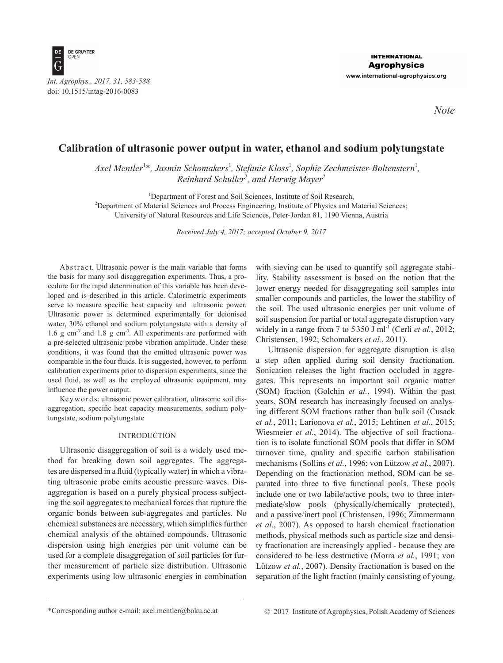

*Note*

# **Calibration of ultrasonic power output in water, ethanol and sodium polytungstate**

*Axel Mentler*<sup>1</sup> \**, Jasmin Schomakers*<sup>1</sup> *, Stefanie Kloss*<sup>1</sup> *, Sophie Zechmeister-Boltenstern*<sup>1</sup> *, Reinhard Schuller*<sup>2</sup> *, and Herwig Mayer*<sup>2</sup>

<sup>1</sup>Department of Forest and Soil Sciences, Institute of Soil Research,

2 Department of Material Sciences and Process Engineering, Institute of Physics and Material Sciences; University of Natural Resources and Life Sciences, Peter-Jordan 81, 1190 Vienna, Austria

*Received July 4, 2017; accepted October 9, 2017*

Ab s tract. Ultrasonic power is the main variable that forms the basis for many soil disaggregation experiments. Thus, a procedure for the rapid determination of this variable has been developed and is described in this article. Calorimetric experiments serve to measure specific heat capacity and ultrasonic power. Ultrasonic power is determined experimentally for deionised water, 30% ethanol and sodium polytungstate with a density of 1.6 g  $\text{cm}^{-3}$  and 1.8 g  $\text{cm}^{-3}$ . All experiments are performed with a pre-selected ultrasonic probe vibration amplitude. Under these conditions, it was found that the emitted ultrasonic power was comparable in the four fluids. It is suggested, however, to perform calibration experiments prior to dispersion experiments, since the used fluid, as well as the employed ultrasonic equipment, may influence the power output.

Ke y w o r d s: ultrasonic power calibration, ultrasonic soil disaggregation, specific heat capacity measurements, sodium polytungstate, sodium polytungstate

## INTRODUCTION

Ultrasonic disaggregation of soil is a widely used method for breaking down soil aggregates. The aggregates are dispersed in a fluid (typically water) in which a vibrating ultrasonic probe emits acoustic pressure waves. Disaggregation is based on a purely physical process subjecting the soil aggregates to mechanical forces that rupture the organic bonds between sub-aggregates and particles. No chemical substances are necessary, which simplifies further chemical analysis of the obtained compounds. Ultrasonic dispersion using high energies per unit volume can be used for a complete disaggregation of soil particles for further measurement of particle size distribution. Ultrasonic experiments using low ultrasonic energies in combination

with sieving can be used to quantify soil aggregate stability. Stability assessment is based on the notion that the lower energy needed for disaggregating soil samples into smaller compounds and particles, the lower the stability of the soil. The used ultrasonic energies per unit volume of soil suspension for partial or total aggregate disruption vary widely in a range from 7 to  $5350$  J ml<sup>-1</sup> (Cerli *et al.*, 2012; Christensen, 1992; Schomakers *et al.*, 2011).

Ultrasonic dispersion for aggregate disruption is also a step often applied during soil density fractionation. Sonication releases the light fraction occluded in aggregates. This represents an important soil organic matter (SOM) fraction (Golchin *et al.*, 1994). Within the past years, SOM research has increasingly focused on analysing different SOM fractions rather than bulk soil (Cusack *et al.*, 2011; Larionova *et al.*, 2015; Lehtinen *et al.*, 2015; Wiesmeier *et al.*, 2014). The objective of soil fractionation is to isolate functional SOM pools that differ in SOM turnover time, quality and specific carbon stabilisation mechanisms (Sollins *et al.*, 1996; von Lützow *et al.*, 2007). Depending on the fractionation method, SOM can be separated into three to five functional pools. These pools include one or two labile/active pools, two to three intermediate/slow pools (physically/chemically protected), and a passive/inert pool (Christensen, 1996; Zimmermann *et al.*, 2007). As opposed to harsh chemical fractionation methods, physical methods such as particle size and density fractionation are increasingly applied - because they are considered to be less destructive (Morra *et al.*, 1991; von Lützow *et al.*, 2007). Density fractionation is based on the separation of the light fraction (mainly consisting of young,

<sup>\*</sup>Corresponding author e-mail: axel.mentler@boku.ac.at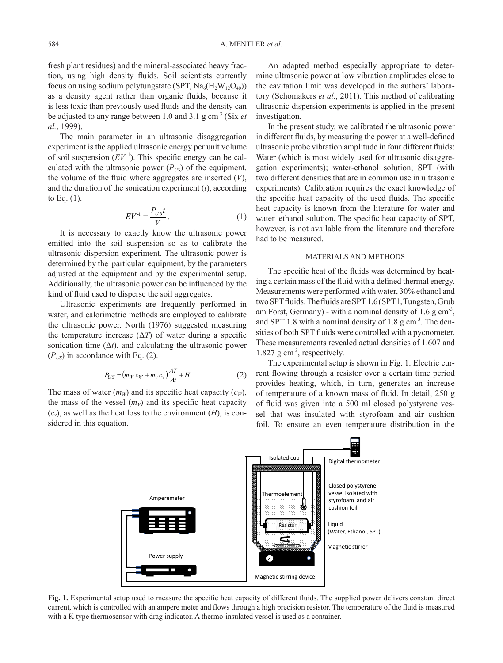fresh plant residues) and the mineral-associated heavy fraction, using high density fluids. Soil scientists currently focus on using sodium polytungstate (SPT,  $\text{Na}_{6}(\text{H}_{2}\text{W}_{12}\text{O}_{40})$ ) as a density agent rather than organic fluids, because it is less toxic than previously used fluids and the density can be adjusted to any range between 1.0 and 3.1 g cm-3 (Six *et al.*, 1999).

The main parameter in an ultrasonic disaggregation experiment is the applied ultrasonic energy per unit volume of soil suspension  $(EV^{-1})$ . This specific energy can be calculated with the ultrasonic power  $(P_{US})$  of the equipment, the volume of the fluid where aggregates are inserted (*V*), and the duration of the sonication experiment (*t*), according to Eq. (1).

$$
EV^{-1} = \frac{P_{US}t}{V}.
$$
 (1)

It is necessary to exactly know the ultrasonic power emitted into the soil suspension so as to calibrate the ultrasonic dispersion experiment. The ultrasonic power is determined by the particular equipment, by the parameters adjusted at the equipment and by the experimental setup. Additionally, the ultrasonic power can be influenced by the kind of fluid used to disperse the soil aggregates.

Ultrasonic experiments are frequently performed in water, and calorimetric methods are employed to calibrate the ultrasonic power. North (1976) suggested measuring the temperature increase  $(\Delta T)$  of water during a specific sonication time  $(\Delta t)$ , and calculating the ultrasonic power  $(P_{US})$  in accordance with Eq. (2).

$$
P_{US} = (m_W c_W + m_v c_v) \frac{\Delta T}{\Delta t} + H. \tag{2}
$$

The mass of water  $(m_W)$  and its specific heat capacity  $(c_W)$ , the mass of the vessel  $(m_V)$  and its specific heat capacity  $(c_v)$ , as well as the heat loss to the environment  $(H)$ , is considered in this equation.

An adapted method especially appropriate to determine ultrasonic power at low vibration amplitudes close to the cavitation limit was developed in the authors' laboratory (Schomakers *et al.*, 2011). This method of calibrating ultrasonic dispersion experiments is applied in the present investigation.

In the present study, we calibrated the ultrasonic power in different fluids, by measuring the power at a well-defined ultrasonic probe vibration amplitude in four different fluids: Water (which is most widely used for ultrasonic disaggregation experiments); water-ethanol solution; SPT (with two different densities that are in common use in ultrasonic experiments). Calibration requires the exact knowledge of the specific heat capacity of the used fluids. The specific heat capacity is known from the literature for water and water–ethanol solution. The specific heat capacity of SPT, however, is not available from the literature and therefore had to be measured.

## MATERIALS AND METHODS

The specific heat of the fluids was determined by heating a certain mass of the fluid with a defined thermal energy. Measurements were performed with water, 30% ethanol and two SPT fluids. The fluids are SPT 1.6 (SPT1, Tungsten, Grub am Forst, Germany) - with a nominal density of  $1.6$  g cm<sup>-3</sup>, and SPT 1.8 with a nominal density of 1.8 g  $cm^{-3}$ . The densities of both SPT fluids were controlled with a pycnometer. These measurements revealed actual densities of 1.607 and 1.827 g cm-3, respectively.

The experimental setup is shown in Fig. 1. Electric current flowing through a resistor over a certain time period provides heating, which, in turn, generates an increase of temperature of a known mass of fluid. In detail, 250 g of fluid was given into a 500 ml closed polystyrene vessel that was insulated with styrofoam and air cushion foil. To ensure an even temperature distribution in the



**Fig. 1.** Experimental setup used to measure the specific heat capacity of different fluids. The supplied power delivers constant direct current, which is controlled with an ampere meter and flows through a high precision resistor. The temperature of the fluid is measured with a K type thermosensor with drag indicator. A thermo-insulated vessel is used as a container.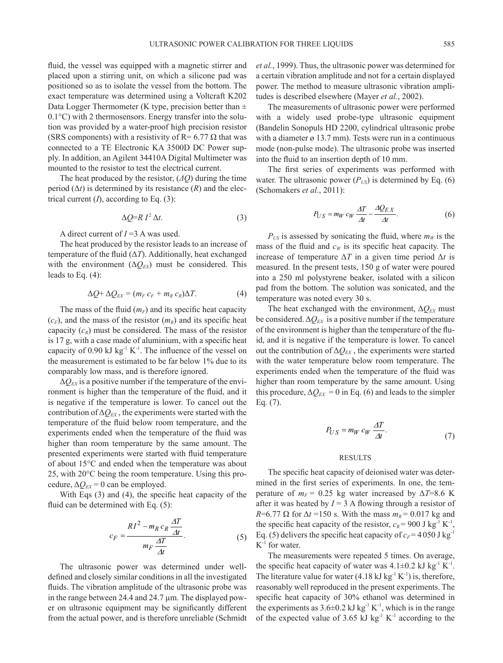*et al.*, 1999). Thus, the ultrasonic power was determined for a certain vibration amplitude and not for a certain displayed

(Schomakers *et al.*, 2011):

placed upon a stirring unit, on which a silicone pad was positioned so as to isolate the vessel from the bottom. The exact temperature was determined using a Voltcraft K202 Data Logger Thermometer (K type, precision better than  $\pm$ 0.1°C) with 2 thermosensors. Energy transfer into the solution was provided by a water-proof high precision resistor (SRS components) with a resistivity of R= 6.77  $\Omega$  that was connected to a TE Electronic KA 3500D DC Power supply. In addition, an Agilent 34410A Digital Multimeter was mounted to the resistor to test the electrical current.

fluid, the vessel was equipped with a magnetic stirrer and

The heat produced by the resistor, (*ΔQ*) during the time period  $(\Delta t)$  is determined by its resistance  $(R)$  and the electrical current (*I*), according to Eq. (3):

$$
\Delta Q = R \, I^2 \, \Delta t. \tag{3}
$$

A direct current of *I* =3 A was used.

The heat produced by the resistor leads to an increase of temperature of the fluid (Δ*T*). Additionally, heat exchanged with the environment  $(\Delta Q_{EX})$  must be considered. This leads to Eq. (4):

$$
\Delta Q + \Delta Q_{EX} = (m_F c_F + m_R c_R) \Delta T.
$$
 (4)

The mass of the fluid  $(m_F)$  and its specific heat capacity  $(c_F)$ , and the mass of the resistor  $(m_R)$  and its specific heat capacity  $(c_R)$  must be considered. The mass of the resistor is 17 g, with a case made of aluminium, with a specific heat capacity of  $0.90 \text{ kJ kg}^{-1} \text{K}^{-1}$ . The influence of the vessel on the measurement is estimated to be far below 1% due to its comparably low mass, and is therefore ignored.

 $\Delta Q_{EX}$  is a positive number if the temperature of the environment is higher than the temperature of the fluid, and it is negative if the temperature is lower. To cancel out the contribution of  $\Delta Q_{EX}$ , the experiments were started with the temperature of the fluid below room temperature, and the experiments ended when the temperature of the fluid was higher than room temperature by the same amount. The presented experiments were started with fluid temperature of about 15°C and ended when the temperature was about 25, with 20°C being the room temperature. Using this procedure,  $\Delta Q_{EX} = 0$  can be employed.

With Eqs (3) and (4), the specific heat capacity of the fluid can be determined with Eq.  $(5)$ :

$$
c_F = \frac{R I^2 - m_R c_R \frac{\Delta T}{\Delta t}}{m_F \frac{\Delta T}{\Delta t}}.\tag{5}
$$

The ultrasonic power was determined under welldefined and closely similar conditions in all the investigated fluids. The vibration amplitude of the ultrasonic probe was in the range between 24.4 and 24.7 µm. The displayed power on ultrasonic equipment may be significantly different from the actual power, and is therefore unreliable (Schmidt power. The method to measure ultrasonic vibration amplitudes is described elsewhere (Mayer *et al.*, 2002). The measurements of ultrasonic power were performed with a widely used probe-type ultrasonic equipment (Bandelin Sonopuls HD 2200, cylindrical ultrasonic probe with a diameter  $\varnothing$  13.7 mm). Tests were run in a continuous

mode (non-pulse mode). The ultrasonic probe was inserted into the fluid to an insertion depth of 10 mm. The first series of experiments was performed with water. The ultrasonic power  $(P_{US})$  is determined by Eq. (6)

$$
P_{US} = m_W c_W \frac{\Delta T}{\Delta t} - \frac{\Delta Q_{EX}}{\Delta t}.
$$
 (6)

 $P_{US}$  is assessed by sonicating the fluid, where  $m_W$  is the mass of the fluid and  $c_W$  is its specific heat capacity. The increase of temperature  $\Delta T$  in a given time period  $\Delta t$  is measured. In the present tests, 150 g of water were poured into a 250 ml polystyrene beaker, isolated with a silicon pad from the bottom. The solution was sonicated, and the temperature was noted every 30 s.

The heat exchanged with the environment,  $\Delta Q_{EX}$  must be considered.  $\Delta Q_{EX}$  is a positive number if the temperature of the environment is higher than the temperature of the fluid, and it is negative if the temperature is lower. To cancel out the contribution of  $\Delta Q_{EX}$ , the experiments were started with the water temperature below room temperature. The experiments ended when the temperature of the fluid was higher than room temperature by the same amount. Using this procedure,  $\Delta Q_{EX} = 0$  in Eq. (6) and leads to the simpler Eq. (7).

$$
P_{US} = m_W c_W \frac{\Delta T}{\Delta t}.
$$
 (7)

#### RESULTS

The specific heat capacity of deionised water was determined in the first series of experiments. In one, the temperature of  $m_F$  = 0.25 kg water increased by  $\Delta T$ =8.6 K after it was heated by  $I = 3$  A flowing through a resistor of  $R=6.77 \Omega$  for  $\Delta t = 150$  s. With the mass  $m_R = 0.017$  kg and the specific heat capacity of the resistor,  $c_R$  = 900 J kg<sup>-1</sup> K<sup>-1</sup>, Eq. (5) delivers the specific heat capacity of  $c_F$  = 4 050 J kg<sup>-1</sup>  $K^{-1}$  for water.

The measurements were repeated 5 times. On average, the specific heat capacity of water was  $4.1 \pm 0.2$  kJ kg<sup>-1</sup> K<sup>-1</sup>. The literature value for water  $(4.18 \text{ kJ kg}^{-1} \text{K}^{-1})$  is, therefore, reasonably well reproduced in the present experiments. The specific heat capacity of 30% ethanol was determined in the experiments as  $3.6\pm0.2$  kJ kg<sup>-1</sup> K<sup>-1</sup>, which is in the range of the expected value of 3.65 kJ kg<sup>-1</sup> K<sup>-1</sup> according to the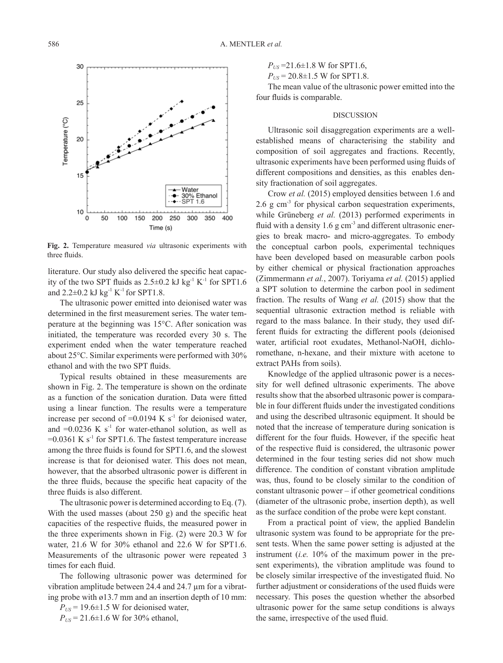

**Fig. 2.** Temperature measured *via* ultrasonic experiments with three fluids.

literature. Our study also delivered the specific heat capacity of the two SPT fluids as  $2.5\pm0.2$  kJ kg<sup>-1</sup> K<sup>-1</sup> for SPT1.6 and  $2.2\pm0.2$  kJ kg<sup>-1</sup> K<sup>-1</sup> for SPT1.8.

The ultrasonic power emitted into deionised water was determined in the first measurement series. The water temperature at the beginning was 15°C. After sonication was initiated, the temperature was recorded every 30 s. The experiment ended when the water temperature reached about 25°C. Similar experiments were performed with 30% ethanol and with the two SPT fluids.

Typical results obtained in these measurements are shown in Fig. 2. The temperature is shown on the ordinate as a function of the sonication duration. Data were fitted using a linear function. The results were a temperature increase per second of  $=0.0194$  K s<sup>-1</sup> for deionised water, and  $=0.0236$  K s<sup>-1</sup> for water-ethanol solution, as well as  $=0.0361$  K s<sup>-1</sup> for SPT1.6. The fastest temperature increase among the three fluids is found for SPT1.6, and the slowest increase is that for deionised water. This does not mean, however, that the absorbed ultrasonic power is different in the three fluids, because the specific heat capacity of the three fluids is also different.

The ultrasonic power is determined according to Eq. (7). With the used masses (about 250 g) and the specific heat capacities of the respective fluids, the measured power in the three experiments shown in Fig. (2) were 20.3 W for water, 21.6 W for 30% ethanol and 22.6 W for SPT1.6. Measurements of the ultrasonic power were repeated 3 times for each fluid.

The following ultrasonic power was determined for vibration amplitude between 24.4 and 24.7 µm for a vibrating probe with ø13.7 mm and an insertion depth of 10 mm:

 $P_{US}$  = 19.6 $\pm$ 1.5 W for deionised water,  $P_{US}$  = 21.6±1.6 W for 30% ethanol,

 $P_{US}$  =21.6 $\pm$ 1.8 W for SPT1.6,

 $P_{US}$  = 20.8 $\pm$ 1.5 W for SPT1.8.

The mean value of the ultrasonic power emitted into the four fluids is comparable.

#### DISCUSSION

Ultrasonic soil disaggregation experiments are a wellestablished means of characterising the stability and composition of soil aggregates and fractions. Recently, ultrasonic experiments have been performed using fluids of different compositions and densities, as this enables density fractionation of soil aggregates.

Crow *et al.* (2015) employed densities between 1.6 and 2.6 g cm $<sup>3</sup>$  for physical carbon sequestration experiments,</sup> while Grüneberg *et al.* (2013) performed experiments in fluid with a density  $1.6$  g cm<sup>-3</sup> and different ultrasonic energies to break macro- and micro-aggregates. To embody the conceptual carbon pools, experimental techniques have been developed based on measurable carbon pools by either chemical or physical fractionation approaches (Zimmermann *et al.*, 2007). Toriyama *et al.* (2015) applied a SPT solution to determine the carbon pool in sediment fraction. The results of Wang *et al.* (2015) show that the sequential ultrasonic extraction method is reliable with regard to the mass balance. In their study, they used different fluids for extracting the different pools (deionised water, artificial root exudates, Methanol-NaOH, dichloromethane, n-hexane, and their mixture with acetone to extract PAHs from soils).

Knowledge of the applied ultrasonic power is a necessity for well defined ultrasonic experiments. The above results show that the absorbed ultrasonic power is comparable in four different fluids under the investigated conditions and using the described ultrasonic equipment. It should be noted that the increase of temperature during sonication is different for the four fluids. However, if the specific heat of the respective fluid is considered, the ultrasonic power determined in the four testing series did not show much difference. The condition of constant vibration amplitude was, thus, found to be closely similar to the condition of constant ultrasonic power – if other geometrical conditions (diameter of the ultrasonic probe, insertion depth), as well as the surface condition of the probe were kept constant.

From a practical point of view, the applied Bandelin ultrasonic system was found to be appropriate for the present tests. When the same power setting is adjusted at the instrument (*i.e.* 10% of the maximum power in the present experiments), the vibration amplitude was found to be closely similar irrespective of the investigated fluid. No further adjustment or considerations of the used fluids were necessary. This poses the question whether the absorbed ultrasonic power for the same setup conditions is always the same, irrespective of the used fluid.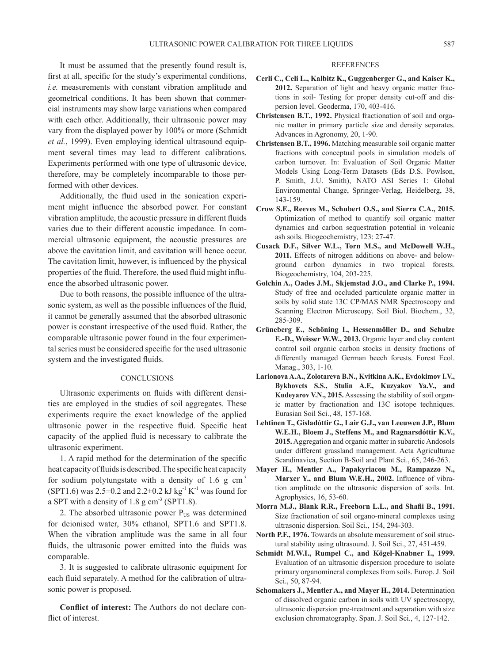It must be assumed that the presently found result is, first at all, specific for the study's experimental conditions, *i.e.* measurements with constant vibration amplitude and geometrical conditions. It has been shown that commercial instruments may show large variations when compared with each other. Additionally, their ultrasonic power may vary from the displayed power by 100% or more (Schmidt *et al.*, 1999). Even employing identical ultrasound equipment several times may lead to different calibrations. Experiments performed with one type of ultrasonic device, therefore, may be completely incomparable to those performed with other devices.

Additionally, the fluid used in the sonication experiment might influence the absorbed power. For constant vibration amplitude, the acoustic pressure in different fluids varies due to their different acoustic impedance. In commercial ultrasonic equipment, the acoustic pressures are above the cavitation limit, and cavitation will hence occur. The cavitation limit, however, is influenced by the physical properties of the fluid. Therefore, the used fluid might influence the absorbed ultrasonic power.

Due to both reasons, the possible influence of the ultrasonic system, as well as the possible influences of the fluid, it cannot be generally assumed that the absorbed ultrasonic power is constant irrespective of the used fluid. Rather, the comparable ultrasonic power found in the four experimental series must be considered specific for the used ultrasonic system and the investigated fluids.

## **CONCLUSIONS**

Ultrasonic experiments on fluids with different densities are employed in the studies of soil aggregates. These experiments require the exact knowledge of the applied ultrasonic power in the respective fluid. Specific heat capacity of the applied fluid is necessary to calibrate the ultrasonic experiment.

1. A rapid method for the determination of the specific heat capacity of fluids is described. The specific heat capacity for sodium polytungstate with a density of 1.6 g  $cm<sup>3</sup>$ (SPT1.6) was  $2.5\pm0.2$  and  $2.2\pm0.2$  kJ kg<sup>-1</sup> K<sup>-1</sup> was found for a SPT with a density of  $1.8 \text{ g cm}^3$  (SPT1.8).

2. The absorbed ultrasonic power  $P_{US}$  was determined for deionised water, 30% ethanol, SPT1.6 and SPT1.8. When the vibration amplitude was the same in all four fluids, the ultrasonic power emitted into the fluids was comparable.

3. It is suggested to calibrate ultrasonic equipment for each fluid separately. A method for the calibration of ultrasonic power is proposed.

**Conflict of interest:** The Authors do not declare conflict of interest.

## REFERENCES

- **Cerli C., Celi L., Kalbitz K., Guggenberger G., and Kaiser K., 2012.** Separation of light and heavy organic matter fractions in soil- Testing for proper density cut-off and dispersion level. Geoderma, 170, 403-416.
- **Christensen B.T., 1992.** Physical fractionation of soil and organic matter in primary particle size and density separates. Advances in Agronomy, 20, 1-90.
- **Christensen B.T., 1996.** Matching measurable soil organic matter fractions with conceptual pools in simulation models of carbon turnover. In: Evaluation of Soil Organic Matter Models Using Long-Term Datasets (Eds D.S. Powlson, P. Smith, J.U. Smith), NATO ASI Series 1: Global Environmental Change, Springer-Verlag, Heidelberg, 38, 143-159.
- **Crow S.E., Reeves M., Schubert O.S., and Sierra C.A., 2015.** Optimization of method to quantify soil organic matter dynamics and carbon sequestration potential in volcanic ash soils. Biogeochemistry, 123: 27-47.
- **Cusack D.F., Silver W.L., Torn M.S., and McDowell W.H., 2011.** Effects of nitrogen additions on above- and belowground carbon dynamics in two tropical forests. Biogeochemistry, 104, 203-225.
- **Golchin A., Oades J.M., Skjemstad J.O., and Clarke P., 1994.** Study of free and occluded particulate organic matter in soils by solid state 13C CP/MAS NMR Spectroscopy and Scanning Electron Microscopy. Soil Biol. Biochem., 32, 285-309.
- **Grüneberg E., Schöning I., Hessenmöller D., and Schulze E.-D., Weisser W.W., 2013.** Organic layer and clay content control soil organic carbon stocks in density fractions of differently managed German beech forests. Forest Ecol. Manag., 303, 1-10.
- **Larionova A.A., Zolotareva B.N., Kvitkina A.K., Evdokimov I.V., Bykhovets S.S., Stulin A.F., Kuzyakov Ya.V., and Kudeyarov V.N., 2015.** Assessing the stability of soil organic matter by fractionation and 13C isotope techniques. Eurasian Soil Sci., 48, 157-168.
- **Lehtinen T., Gísladóttir G., Lair G.J., van Leeuwen J.P., Blum W.E.H., Bloem J., Steffens M., and Ragnarsdóttir K.V., 2015.** Aggregation and organic matter in subarctic Andosols under different grassland management. Acta Agriculturae Scandinavica, Section B-Soil and Plant Sci., 65, 246-263.
- **Mayer H., Mentler A., Papakyriacou M., Rampazzo N., Marxer Y., and Blum W.E.H., 2002.** Influence of vibration amplitude on the ultrasonic dispersion of soils. Int. Agrophysics, 16, 53-60.
- **Morra M.J., Blank R.R., Freeborn L.L., and Shafii B., 1991.** Size fractionation of soil organo-mineral complexes using ultrasonic dispersion. Soil Sci., 154, 294-303.
- **North P.F., 1976.** Towards an absolute measurement of soil structural stability using ultrasound. J. Soil Sci., 27, 451-459.
- **Schmidt M.W.I., Rumpel C., and Kögel-Knabner I., 1999.**  Evaluation of an ultrasonic dispersion procedure to isolate primary organomineral complexes from soils. Europ. J. Soil Sci., 50, 87-94.
- **Schomakers J., Mentler A., and Mayer H., 2014.** Determination of dissolved organic carbon in soils with UV spectroscopy, ultrasonic dispersion pre-treatment and separation with size exclusion chromatography. Span. J. Soil Sci., 4, 127-142.